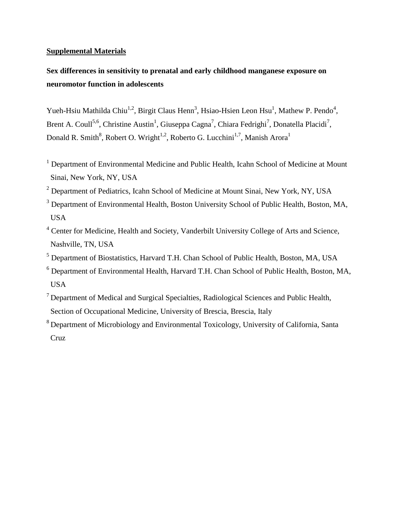### **Supplemental Materials**

# **Sex differences in sensitivity to prenatal and early childhood manganese exposure on neuromotor function in adolescents**

Yueh-Hsiu Mathilda Chiu<sup>1,2</sup>, Birgit Claus Henn<sup>3</sup>, Hsiao-Hsien Leon Hsu<sup>1</sup>, Mathew P. Pendo<sup>4</sup>, Brent A. Coull<sup>5,6</sup>, Christine Austin<sup>1</sup>, Giuseppa Cagna<sup>7</sup>, Chiara Fedrighi<sup>7</sup>, Donatella Placidi<sup>7</sup>, Donald R. Smith<sup>8</sup>, Robert O. Wright<sup>1,2</sup>, Roberto G. Lucchini<sup>1,7</sup>, Manish Arora<sup>1</sup>

- <sup>1</sup> Department of Environmental Medicine and Public Health, Icahn School of Medicine at Mount Sinai, New York, NY, USA
- <sup>2</sup> Department of Pediatrics, Icahn School of Medicine at Mount Sinai, New York, NY, USA
- <sup>3</sup> Department of Environmental Health, Boston University School of Public Health, Boston, MA, USA
- <sup>4</sup> Center for Medicine, Health and Society, Vanderbilt University College of Arts and Science, Nashville, TN, USA
- <sup>5</sup> Department of Biostatistics, Harvard T.H. Chan School of Public Health, Boston, MA, USA
- <sup>6</sup> Department of Environmental Health, Harvard T.H. Chan School of Public Health, Boston, MA, USA
- $<sup>7</sup>$  Department of Medical and Surgical Specialties, Radiological Sciences and Public Health,</sup> Section of Occupational Medicine, University of Brescia, Brescia, Italy

<sup>&</sup>lt;sup>8</sup> Department of Microbiology and Environmental Toxicology, University of California, Santa Cruz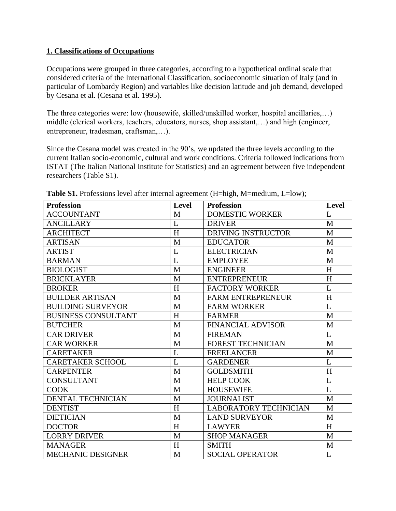## **1. Classifications of Occupations**

Occupations were grouped in three categories, according to a hypothetical ordinal scale that considered criteria of the International Classification, socioeconomic situation of Italy (and in particular of Lombardy Region) and variables like decision latitude and job demand, developed by Cesana et al. [\(Cesana et al. 1995\)](#page-4-0).

The three categories were: low (housewife, skilled/unskilled worker, hospital ancillaries,…) middle (clerical workers, teachers, educators, nurses, shop assistant,…) and high (engineer, entrepreneur, tradesman, craftsman,…).

Since the Cesana model was created in the 90's, we updated the three levels according to the current Italian socio-economic, cultural and work conditions. Criteria followed indications from ISTAT (The Italian National Institute for Statistics) and an agreement between five independent researchers (Table S1).

| <b>Profession</b>          | <b>Level</b> | <b>Profession</b>            | Level        |
|----------------------------|--------------|------------------------------|--------------|
| <b>ACCOUNTANT</b>          | M            | <b>DOMESTIC WORKER</b>       | L            |
| <b>ANCILLARY</b>           | L            | <b>DRIVER</b>                | M            |
| <b>ARCHITECT</b>           | H            | <b>DRIVING INSTRUCTOR</b>    | M            |
| <b>ARTISAN</b>             | M            | <b>EDUCATOR</b>              | M            |
| <b>ARTIST</b>              | L            | <b>ELECTRICIAN</b>           | M            |
| <b>BARMAN</b>              | L            | <b>EMPLOYEE</b>              | M            |
| <b>BIOLOGIST</b>           | M            | <b>ENGINEER</b>              | H            |
| <b>BRICKLAYER</b>          | M            | <b>ENTREPRENEUR</b>          | H            |
| <b>BROKER</b>              | H            | <b>FACTORY WORKER</b>        | L            |
| <b>BUILDER ARTISAN</b>     | M            | <b>FARM ENTREPRENEUR</b>     | H            |
| <b>BUILDING SURVEYOR</b>   | M            | <b>FARM WORKER</b>           | L            |
| <b>BUSINESS CONSULTANT</b> | H            | <b>FARMER</b>                | $\mathbf{M}$ |
| <b>BUTCHER</b>             | M            | <b>FINANCIAL ADVISOR</b>     | $\mathbf{M}$ |
| <b>CAR DRIVER</b>          | M            | <b>FIREMAN</b>               | L            |
| <b>CAR WORKER</b>          | M            | <b>FOREST TECHNICIAN</b>     | M            |
| <b>CARETAKER</b>           | L            | <b>FREELANCER</b>            | M            |
| <b>CARETAKER SCHOOL</b>    | L            | <b>GARDENER</b>              | L            |
| <b>CARPENTER</b>           | M            | <b>GOLDSMITH</b>             | H            |
| <b>CONSULTANT</b>          | M            | <b>HELP COOK</b>             | L            |
| <b>COOK</b>                | M            | <b>HOUSEWIFE</b>             | L            |
| <b>DENTAL TECHNICIAN</b>   | M            | <b>JOURNALIST</b>            | M            |
| <b>DENTIST</b>             | H            | <b>LABORATORY TECHNICIAN</b> | $\mathbf{M}$ |
| <b>DIETICIAN</b>           | M            | <b>LAND SURVEYOR</b>         | M            |
| <b>DOCTOR</b>              | H            | <b>LAWYER</b>                | H            |
| <b>LORRY DRIVER</b>        | M            | <b>SHOP MANAGER</b>          | $\mathbf{M}$ |
| <b>MANAGER</b>             | H            | <b>SMITH</b>                 | M            |
| <b>MECHANIC DESIGNER</b>   | M            | <b>SOCIAL OPERATOR</b>       | L            |

**Table S1.** Professions level after internal agreement (H=high, M=medium, L=low);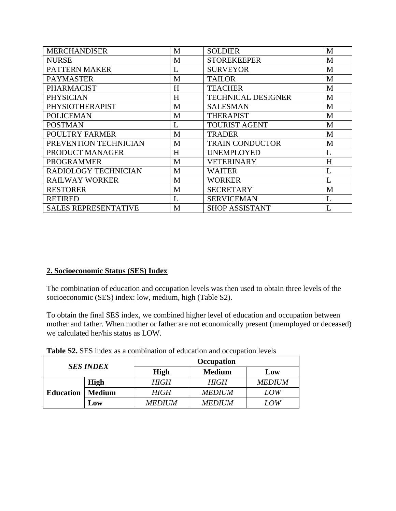| <b>MERCHANDISER</b>         | M | <b>SOLDIER</b>            | M |
|-----------------------------|---|---------------------------|---|
| <b>NURSE</b>                | M | <b>STOREKEEPER</b>        | M |
| <b>PATTERN MAKER</b>        | L | <b>SURVEYOR</b>           | M |
| <b>PAYMASTER</b>            | M | <b>TAILOR</b>             | M |
| <b>PHARMACIST</b>           | H | <b>TEACHER</b>            | M |
| <b>PHYSICIAN</b>            | H | <b>TECHNICAL DESIGNER</b> | M |
| PHYSIOTHERAPIST             | M | <b>SALESMAN</b>           | M |
| <b>POLICEMAN</b>            | M | <b>THERAPIST</b>          | M |
| <b>POSTMAN</b>              | L | <b>TOURIST AGENT</b>      | M |
| <b>POULTRY FARMER</b>       | M | <b>TRADER</b>             | M |
| PREVENTION TECHNICIAN       | M | <b>TRAIN CONDUCTOR</b>    | M |
| PRODUCT MANAGER             | H | <b>UNEMPLOYED</b>         | L |
| <b>PROGRAMMER</b>           | M | <b>VETERINARY</b>         | H |
| RADIOLOGY TECHNICIAN        | M | <b>WAITER</b>             | L |
| <b>RAILWAY WORKER</b>       | M | <b>WORKER</b>             | L |
| <b>RESTORER</b>             | M | <b>SECRETARY</b>          | M |
| <b>RETIRED</b>              | L | <b>SERVICEMAN</b>         | L |
| <b>SALES REPRESENTATIVE</b> | M | <b>SHOP ASSISTANT</b>     |   |

# **2. Socioeconomic Status (SES) Index**

The combination of education and occupation levels was then used to obtain three levels of the socioeconomic (SES) index: low, medium, high (Table S2).

To obtain the final SES index, we combined higher level of education and occupation between mother and father. When mother or father are not economically present (unemployed or deceased) we calculated her/his status as LOW.

| <b>Table S2.</b> SES index as a combination of education and occupation levels |  |  |  |
|--------------------------------------------------------------------------------|--|--|--|
|                                                                                |  |  |  |

| <b>SES INDEX</b> |               | <b>Occupation</b> |               |               |  |  |  |
|------------------|---------------|-------------------|---------------|---------------|--|--|--|
|                  |               | <b>High</b>       | <b>Medium</b> | Low           |  |  |  |
|                  | <b>High</b>   | <i>HIGH</i>       | <i>HIGH</i>   | <b>MEDIUM</b> |  |  |  |
| <b>Education</b> | <b>Medium</b> | <b>HIGH</b>       | <b>MEDIUM</b> | LOW           |  |  |  |
|                  | Low           | <b>MEDIUM</b>     | <b>MEDIUM</b> | LOW           |  |  |  |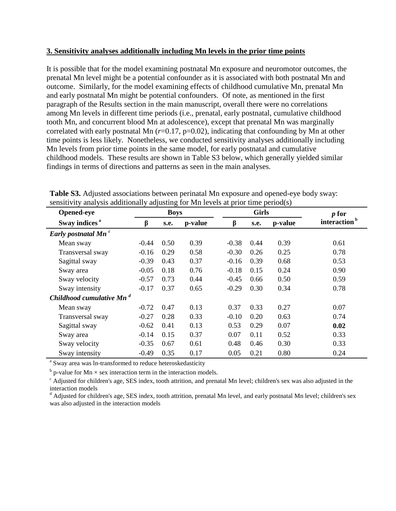#### **3. Sensitivity analyses additionally including Mn levels in the prior time points**

It is possible that for the model examining postnatal Mn exposure and neuromotor outcomes, the prenatal Mn level might be a potential confounder as it is associated with both postnatal Mn and outcome. Similarly, for the model examining effects of childhood cumulative Mn, prenatal Mn and early postnatal Mn might be potential confounders. Of note, as mentioned in the first paragraph of the Results section in the main manuscript, overall there were no correlations among Mn levels in different time periods (i.e., prenatal, early postnatal, cumulative childhood tooth Mn, and concurrent blood Mn at adolescence), except that prenatal Mn was marginally correlated with early postnatal Mn ( $r=0.17$ ,  $p=0.02$ ), indicating that confounding by Mn at other time points is less likely. Nonetheless, we conducted sensitivity analyses additionally including Mn levels from prior time points in the same model, for early postnatal and cumulative childhood models. These results are shown in Table S3 below, which generally yielded similar findings in terms of directions and patterns as seen in the main analyses.

| Opened-eye                           | <b>Boys</b> |      |         |         | <b>Girls</b> | $p$ for |                          |
|--------------------------------------|-------------|------|---------|---------|--------------|---------|--------------------------|
| Sway indices <sup>a</sup>            | β           | s.e. | p-value | ß       | s.e.         | p-value | interaction <sup>b</sup> |
| Early postnatal Mn <sup>c</sup>      |             |      |         |         |              |         |                          |
| Mean sway                            | $-0.44$     | 0.50 | 0.39    | $-0.38$ | 0.44         | 0.39    | 0.61                     |
| Transversal sway                     | $-0.16$     | 0.29 | 0.58    | $-0.30$ | 0.26         | 0.25    | 0.78                     |
| Sagittal sway                        | $-0.39$     | 0.43 | 0.37    | $-0.16$ | 0.39         | 0.68    | 0.53                     |
| Sway area                            | $-0.05$     | 0.18 | 0.76    | $-0.18$ | 0.15         | 0.24    | 0.90                     |
| Sway velocity                        | $-0.57$     | 0.73 | 0.44    | $-0.45$ | 0.66         | 0.50    | 0.59                     |
| Sway intensity                       | $-0.17$     | 0.37 | 0.65    | $-0.29$ | 0.30         | 0.34    | 0.78                     |
| Childhood cumulative Mn <sup>d</sup> |             |      |         |         |              |         |                          |
| Mean sway                            | $-0.72$     | 0.47 | 0.13    | 0.37    | 0.33         | 0.27    | 0.07                     |
| Transversal sway                     | $-0.27$     | 0.28 | 0.33    | $-0.10$ | 0.20         | 0.63    | 0.74                     |
| Sagittal sway                        | $-0.62$     | 0.41 | 0.13    | 0.53    | 0.29         | 0.07    | 0.02                     |
| Sway area                            | $-0.14$     | 0.15 | 0.37    | 0.07    | 0.11         | 0.52    | 0.33                     |
| Sway velocity                        | $-0.35$     | 0.67 | 0.61    | 0.48    | 0.46         | 0.30    | 0.33                     |
| Sway intensity                       | $-0.49$     | 0.35 | 0.17    | 0.05    | 0.21         | 0.80    | 0.24                     |

**Table S3.** Adjusted associations between perinatal Mn exposure and opened-eye body sway: sensitivity analysis additionally adjusting for Mn levels at prior time period(s)

<sup>a</sup> Sway area was ln-transformed to reduce heteroskedasticity

 $b$  p-value for Mn  $\times$  sex interaction term in the interaction models.

 $\epsilon$  Adjusted for children's age, SES index, tooth attrition, and prenatal Mn level; children's sex was also adjusted in the interaction models

<sup>d</sup> Adjusted for children's age, SES index, tooth attrition, prenatal Mn level, and early postnatal Mn level; children's sex was also adjusted in the interaction models